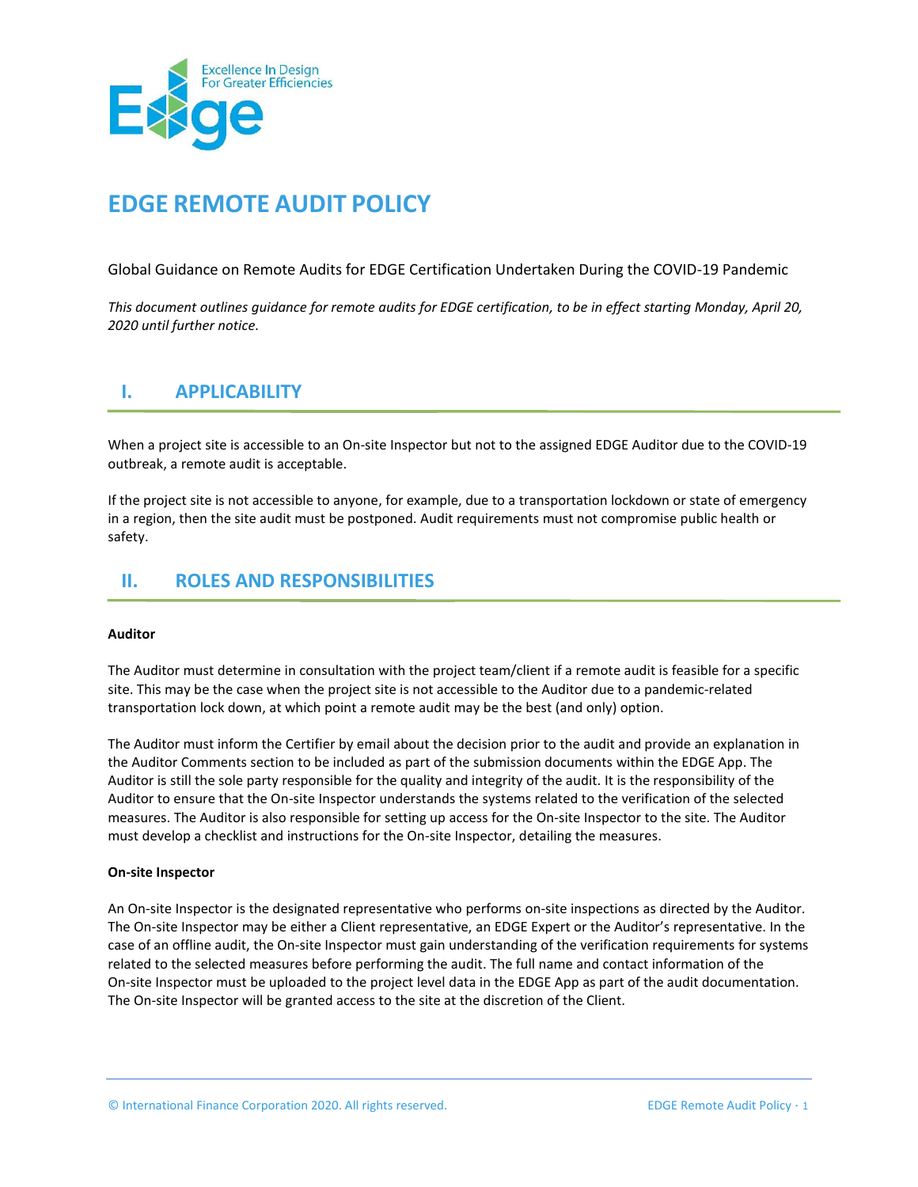

# **EDGE REMOTE AUDIT POLICY**

Global Guidance on Remote Audits for EDGE Certification Undertaken During the COVID-19 Pandemic

*This document outlines guidance for remote audits for EDGE certification, to be in effect starting Monday, April 20, 2020 until further notice.*

### **I. APPLICABILITY**

When a project site is accessible to an On-site Inspector but not to the assigned EDGE Auditor due to the COVID-19 outbreak, a remote audit is acceptable.

If the project site is not accessible to anyone, for example, due to a transportation lockdown or state of emergency in a region, then the site audit must be postponed. Audit requirements must not compromise public health or safety.

### **II. ROLES AND RESPONSIBILITIES**

### **Auditor**

The Auditor must determine in consultation with the project team/client if a remote audit is feasible for a specific site. This may be the case when the project site is not accessible to the Auditor due to a pandemic-related transportation lock down, at which point a remote audit may be the best (and only) option.

The Auditor must inform the Certifier by email about the decision prior to the audit and provide an explanation in the Auditor Comments section to be included as part of the submission documents within the EDGE App. The Auditor is still the sole party responsible for the quality and integrity of the audit. It is the responsibility of the Auditor to ensure that the On-site Inspector understands the systems related to the verification of the selected measures. The Auditor is also responsible for setting up access for the On-site Inspector to the site. The Auditor must develop a checklist and instructions for the On-site Inspector, detailing the measures.

#### **On-site Inspector**

An On-site Inspector is the designated representative who performs on-site inspections as directed by the Auditor. The On-site Inspector may be either a Client representative, an EDGE Expert or the Auditor's representative. In the case of an offline audit, the On-site Inspector must gain understanding of the verification requirements for systems related to the selected measures before performing the audit. The full name and contact information of the On-site Inspector must be uploaded to the project level data in the EDGE App as part of the audit documentation. The On-site Inspector will be granted access to the site at the discretion of the Client.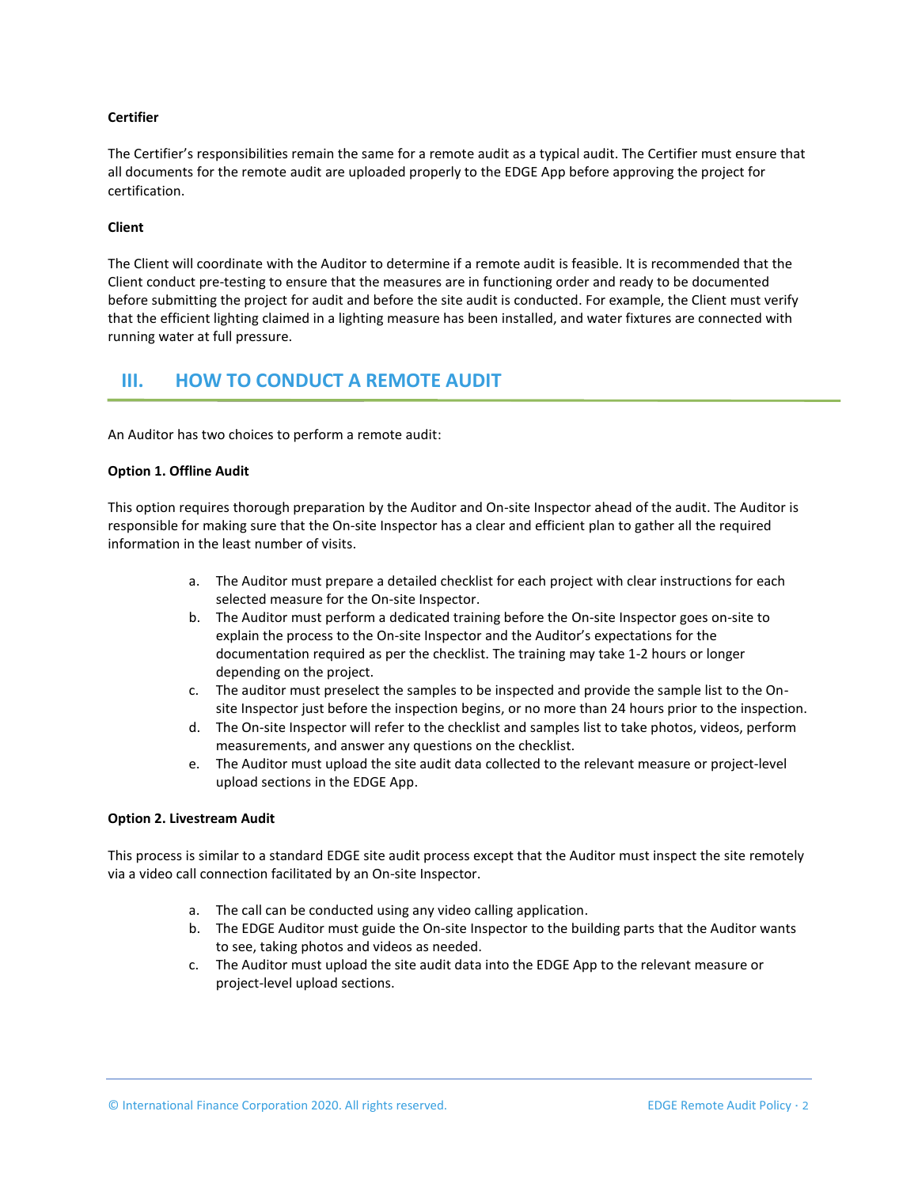#### **Certifier**

The Certifier's responsibilities remain the same for a remote audit as a typical audit. The Certifier must ensure that all documents for the remote audit are uploaded properly to the EDGE App before approving the project for certification.

#### **Client**

The Client will coordinate with the Auditor to determine if a remote audit is feasible. It is recommended that the Client conduct pre-testing to ensure that the measures are in functioning order and ready to be documented before submitting the project for audit and before the site audit is conducted. For example, the Client must verify that the efficient lighting claimed in a lighting measure has been installed, and water fixtures are connected with running water at full pressure.

### **III. HOW TO CONDUCT A REMOTE AUDIT**

An Auditor has two choices to perform a remote audit:

#### **Option 1. Offline Audit**

This option requires thorough preparation by the Auditor and On-site Inspector ahead of the audit. The Auditor is responsible for making sure that the On-site Inspector has a clear and efficient plan to gather all the required information in the least number of visits.

- a. The Auditor must prepare a detailed checklist for each project with clear instructions for each selected measure for the On-site Inspector.
- b. The Auditor must perform a dedicated training before the On-site Inspector goes on-site to explain the process to the On-site Inspector and the Auditor's expectations for the documentation required as per the checklist. The training may take 1-2 hours or longer depending on the project.
- c. The auditor must preselect the samples to be inspected and provide the sample list to the Onsite Inspector just before the inspection begins, or no more than 24 hours prior to the inspection.
- d. The On-site Inspector will refer to the checklist and samples list to take photos, videos, perform measurements, and answer any questions on the checklist.
- e. The Auditor must upload the site audit data collected to the relevant measure or project-level upload sections in the EDGE App.

#### **Option 2. Livestream Audit**

This process is similar to a standard EDGE site audit process except that the Auditor must inspect the site remotely via a video call connection facilitated by an On-site Inspector.

- a. The call can be conducted using any video calling application.
- b. The EDGE Auditor must guide the On-site Inspector to the building parts that the Auditor wants to see, taking photos and videos as needed.
- c. The Auditor must upload the site audit data into the EDGE App to the relevant measure or project-level upload sections.